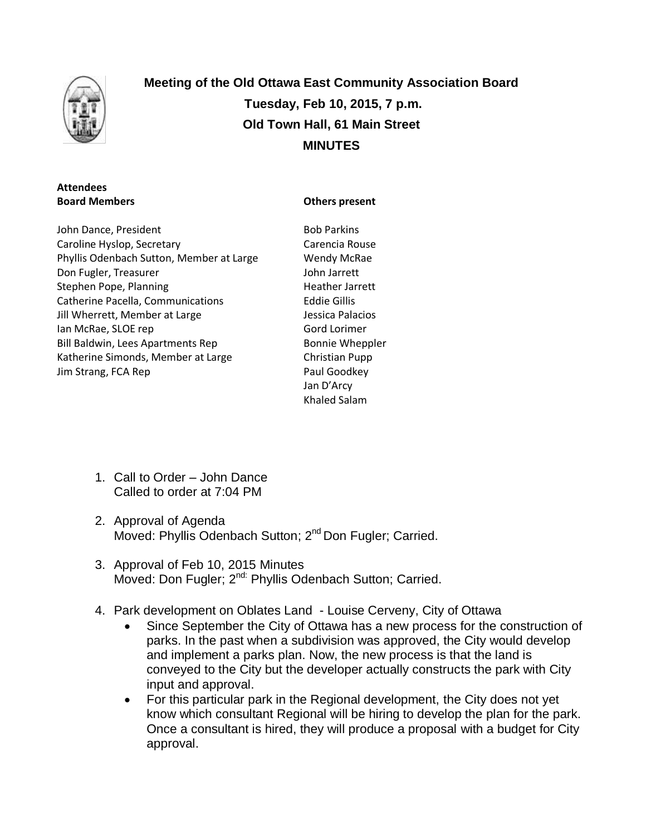

**Meeting of the Old Ottawa East Community Association Board Tuesday, Feb 10, 2015, 7 p.m. Old Town Hall, 61 Main Street MINUTES**

### **Attendees Board Members**

John Dance, President Caroline Hyslop, Secretary Phyllis Odenbach Sutton, Member at Large Don Fugler, Treasurer Stephen Pope, Planning Catherine Pacella, Communications Jill Wherrett, Member at Large Ian McRae, SLOE rep Bill Baldwin, Lees Apartments Rep Katherine Simonds, Member at Large Jim Strang, FCA Rep

**Others present**

Bob Parkins Carencia Rouse Wendy McRae John Jarrett Heather Jarrett Eddie Gillis Jessica Palacios Gord Lorimer Bonnie Wheppler Christian Pupp Paul Goodkey Jan D'Arcy Khaled Salam

- 1. Call to Order John Dance Called to order at 7:04 PM
- 2. Approval of Agenda Moved: Phyllis Odenbach Sutton; 2<sup>nd</sup> Don Fugler; Carried.
- 3. Approval of Feb 10, 2015 Minutes Moved: Don Fugler; 2<sup>nd:</sup> Phyllis Odenbach Sutton; Carried.
- 4. Park development on Oblates Land Louise Cerveny, City of Ottawa
	- Since September the City of Ottawa has a new process for the construction of parks. In the past when a subdivision was approved, the City would develop and implement a parks plan. Now, the new process is that the land is conveyed to the City but the developer actually constructs the park with City input and approval.
	- For this particular park in the Regional development, the City does not yet know which consultant Regional will be hiring to develop the plan for the park. Once a consultant is hired, they will produce a proposal with a budget for City approval.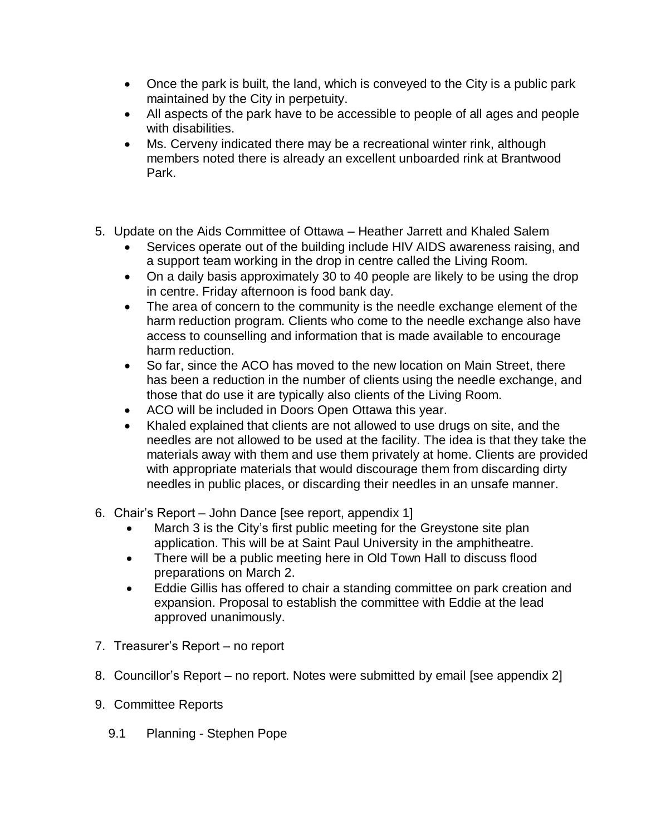- Once the park is built, the land, which is conveyed to the City is a public park maintained by the City in perpetuity.
- All aspects of the park have to be accessible to people of all ages and people with disabilities.
- Ms. Cerveny indicated there may be a recreational winter rink, although members noted there is already an excellent unboarded rink at Brantwood Park.
- 5. Update on the Aids Committee of Ottawa Heather Jarrett and Khaled Salem
	- Services operate out of the building include HIV AIDS awareness raising, and a support team working in the drop in centre called the Living Room.
	- On a daily basis approximately 30 to 40 people are likely to be using the drop in centre. Friday afternoon is food bank day.
	- The area of concern to the community is the needle exchange element of the harm reduction program. Clients who come to the needle exchange also have access to counselling and information that is made available to encourage harm reduction.
	- So far, since the ACO has moved to the new location on Main Street, there has been a reduction in the number of clients using the needle exchange, and those that do use it are typically also clients of the Living Room.
	- ACO will be included in Doors Open Ottawa this year.
	- Khaled explained that clients are not allowed to use drugs on site, and the needles are not allowed to be used at the facility. The idea is that they take the materials away with them and use them privately at home. Clients are provided with appropriate materials that would discourage them from discarding dirty needles in public places, or discarding their needles in an unsafe manner.
- 6. Chair's Report John Dance [see report, appendix 1]
	- March 3 is the City's first public meeting for the Greystone site plan application. This will be at Saint Paul University in the amphitheatre.
	- There will be a public meeting here in Old Town Hall to discuss flood preparations on March 2.
	- Eddie Gillis has offered to chair a standing committee on park creation and expansion. Proposal to establish the committee with Eddie at the lead approved unanimously.
- 7. Treasurer's Report no report
- 8. Councillor's Report no report. Notes were submitted by email [see appendix 2]
- 9. Committee Reports
	- 9.1 Planning Stephen Pope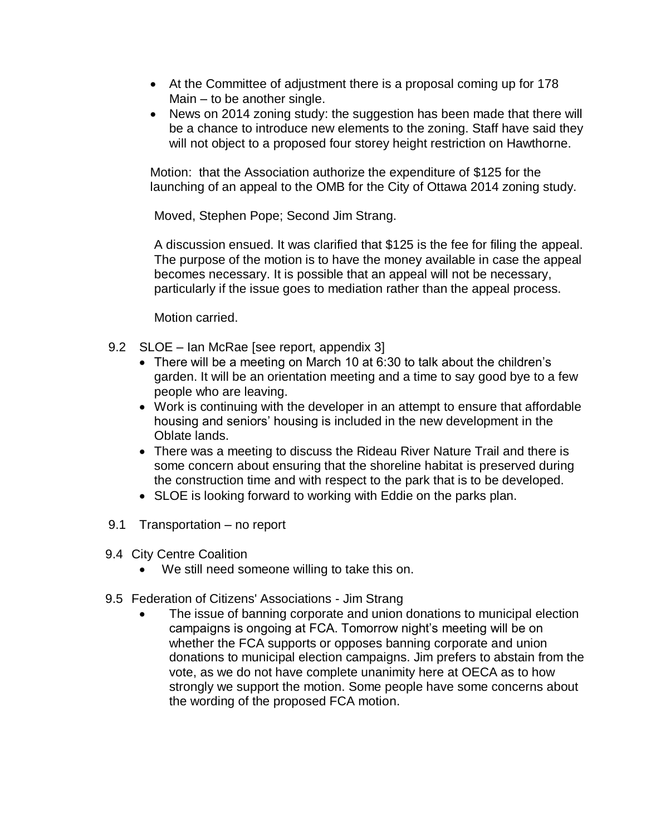- At the Committee of adjustment there is a proposal coming up for 178 Main – to be another single.
- News on 2014 zoning study: the suggestion has been made that there will be a chance to introduce new elements to the zoning. Staff have said they will not object to a proposed four storey height restriction on Hawthorne.

Motion: that the Association authorize the expenditure of \$125 for the launching of an appeal to the OMB for the City of Ottawa 2014 zoning study.

Moved, Stephen Pope; Second Jim Strang.

A discussion ensued. It was clarified that \$125 is the fee for filing the appeal. The purpose of the motion is to have the money available in case the appeal becomes necessary. It is possible that an appeal will not be necessary, particularly if the issue goes to mediation rather than the appeal process.

Motion carried.

- 9.2 SLOE Ian McRae [see report, appendix 3]
	- There will be a meeting on March 10 at 6:30 to talk about the children's garden. It will be an orientation meeting and a time to say good bye to a few people who are leaving.
	- Work is continuing with the developer in an attempt to ensure that affordable housing and seniors' housing is included in the new development in the Oblate lands.
	- There was a meeting to discuss the Rideau River Nature Trail and there is some concern about ensuring that the shoreline habitat is preserved during the construction time and with respect to the park that is to be developed.
	- SLOE is looking forward to working with Eddie on the parks plan.
- 9.1 Transportation no report
- 9.4 City Centre Coalition
	- We still need someone willing to take this on.
- 9.5 Federation of Citizens' Associations Jim Strang
	- The issue of banning corporate and union donations to municipal election campaigns is ongoing at FCA. Tomorrow night's meeting will be on whether the FCA supports or opposes banning corporate and union donations to municipal election campaigns. Jim prefers to abstain from the vote, as we do not have complete unanimity here at OECA as to how strongly we support the motion. Some people have some concerns about the wording of the proposed FCA motion.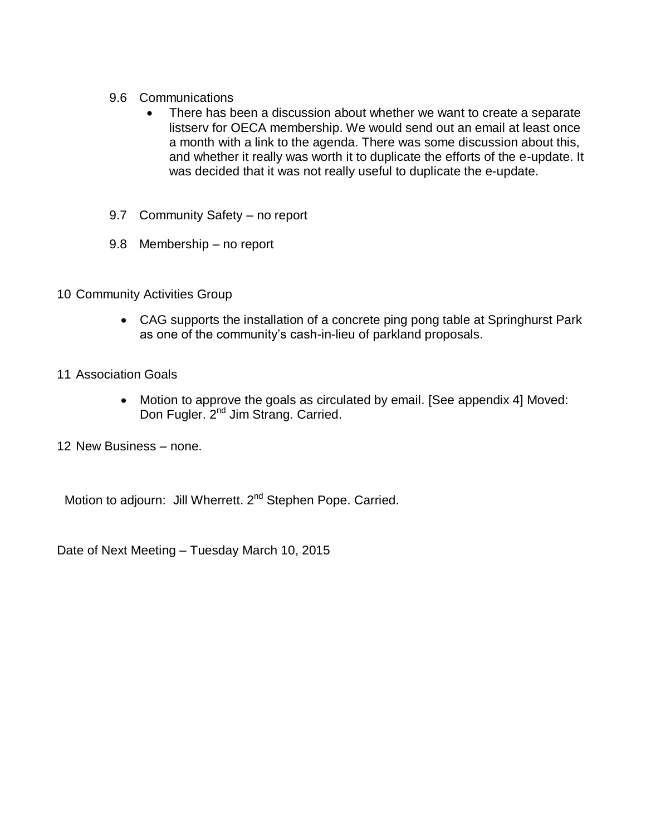- 9.6 Communications
	- There has been a discussion about whether we want to create a separate listserv for OECA membership. We would send out an email at least once a month with a link to the agenda. There was some discussion about this, and whether it really was worth it to duplicate the efforts of the e-update. It was decided that it was not really useful to duplicate the e-update.
- 9.7 Community Safety no report
- 9.8 Membership no report
- 10 Community Activities Group
	- CAG supports the installation of a concrete ping pong table at Springhurst Park as one of the community's cash-in-lieu of parkland proposals.
- 11 Association Goals
	- Motion to approve the goals as circulated by email. [See appendix 4] Moved: Don Fugler. 2<sup>nd</sup> Jim Strang. Carried.
- 12 New Business none.

Motion to adjourn: Jill Wherrett. 2<sup>nd</sup> Stephen Pope. Carried.

Date of Next Meeting – Tuesday March 10, 2015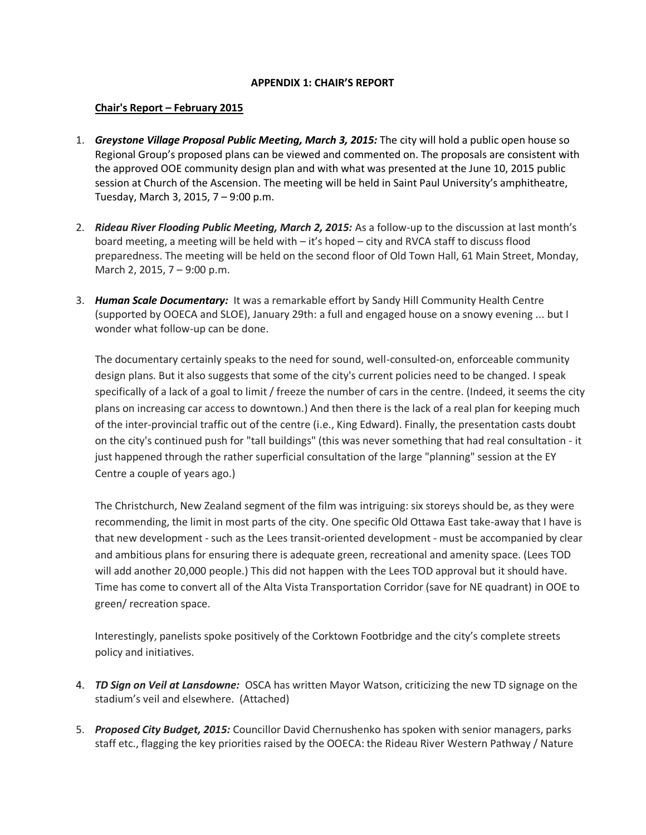#### **APPENDIX 1: CHAIR'S REPORT**

#### **Chair's Report – February 2015**

- 1. *Greystone Village Proposal Public Meeting, March 3, 2015:* The city will hold a public open house so Regional Group's proposed plans can be viewed and commented on. The proposals are consistent with the approved OOE community design plan and with what was presented at the June 10, 2015 public session at Church of the Ascension. The meeting will be held in Saint Paul University's amphitheatre, Tuesday, March 3, 2015, 7 – 9:00 p.m.
- 2. *Rideau River Flooding Public Meeting, March 2, 2015:* As a follow-up to the discussion at last month's board meeting, a meeting will be held with – it's hoped – city and RVCA staff to discuss flood preparedness. The meeting will be held on the second floor of Old Town Hall, 61 Main Street, Monday, March 2, 2015, 7 – 9:00 p.m.
- 3. *Human Scale Documentary:* It was a remarkable effort by Sandy Hill Community Health Centre (supported by OOECA and SLOE), January 29th: a full and engaged house on a snowy evening ... but I wonder what follow-up can be done.

The documentary certainly speaks to the need for sound, well-consulted-on, enforceable community design plans. But it also suggests that some of the city's current policies need to be changed. I speak specifically of a lack of a goal to limit / freeze the number of cars in the centre. (Indeed, it seems the city plans on increasing car access to downtown.) And then there is the lack of a real plan for keeping much of the inter-provincial traffic out of the centre (i.e., King Edward). Finally, the presentation casts doubt on the city's continued push for "tall buildings" (this was never something that had real consultation - it just happened through the rather superficial consultation of the large "planning" session at the EY Centre a couple of years ago.)

The Christchurch, New Zealand segment of the film was intriguing: six storeys should be, as they were recommending, the limit in most parts of the city. One specific Old Ottawa East take-away that I have is that new development - such as the Lees transit-oriented development - must be accompanied by clear and ambitious plans for ensuring there is adequate green, recreational and amenity space. (Lees TOD will add another 20,000 people.) This did not happen with the Lees TOD approval but it should have. Time has come to convert all of the Alta Vista Transportation Corridor (save for NE quadrant) in OOE to green/ recreation space.

Interestingly, panelists spoke positively of the Corktown Footbridge and the city's complete streets policy and initiatives.

- 4. *TD Sign on Veil at Lansdowne:* OSCA has written Mayor Watson, criticizing the new TD signage on the stadium's veil and elsewhere. (Attached)
- 5. *Proposed City Budget, 2015:* Councillor David Chernushenko has spoken with senior managers, parks staff etc., flagging the key priorities raised by the OOECA: the Rideau River Western Pathway / Nature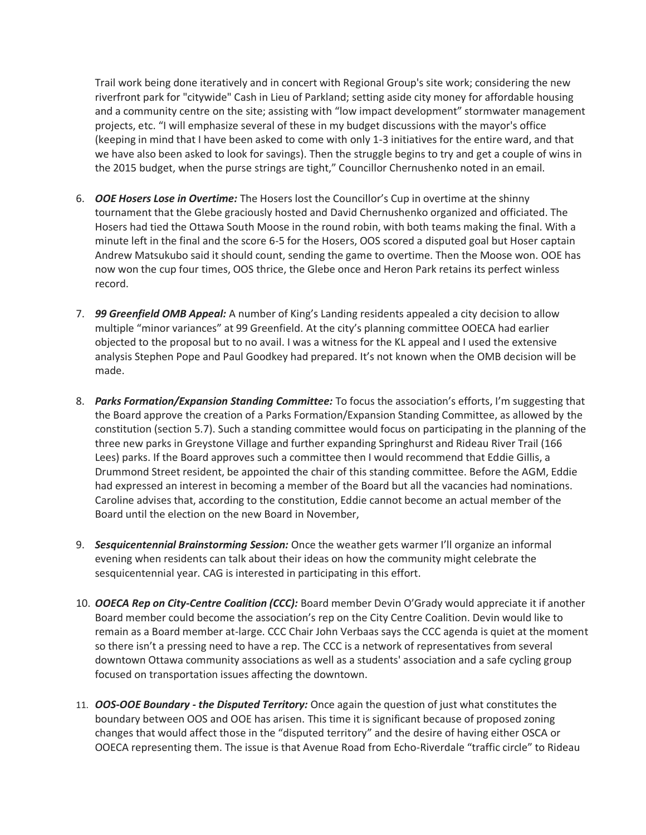Trail work being done iteratively and in concert with Regional Group's site work; considering the new riverfront park for "citywide" Cash in Lieu of Parkland; setting aside city money for affordable housing and a community centre on the site; assisting with "low impact development" stormwater management projects, etc. "I will emphasize several of these in my budget discussions with the mayor's office (keeping in mind that I have been asked to come with only 1-3 initiatives for the entire ward, and that we have also been asked to look for savings). Then the struggle begins to try and get a couple of wins in the 2015 budget, when the purse strings are tight," Councillor Chernushenko noted in an email.

- 6. *OOE Hosers Lose in Overtime:* The Hosers lost the Councillor's Cup in overtime at the shinny tournament that the Glebe graciously hosted and David Chernushenko organized and officiated. The Hosers had tied the Ottawa South Moose in the round robin, with both teams making the final. With a minute left in the final and the score 6-5 for the Hosers, OOS scored a disputed goal but Hoser captain Andrew Matsukubo said it should count, sending the game to overtime. Then the Moose won. OOE has now won the cup four times, OOS thrice, the Glebe once and Heron Park retains its perfect winless record.
- 7. *99 Greenfield OMB Appeal:* A number of King's Landing residents appealed a city decision to allow multiple "minor variances" at 99 Greenfield. At the city's planning committee OOECA had earlier objected to the proposal but to no avail. I was a witness for the KL appeal and I used the extensive analysis Stephen Pope and Paul Goodkey had prepared. It's not known when the OMB decision will be made.
- 8. *Parks Formation/Expansion Standing Committee:* To focus the association's efforts, I'm suggesting that the Board approve the creation of a Parks Formation/Expansion Standing Committee, as allowed by the constitution (section 5.7). Such a standing committee would focus on participating in the planning of the three new parks in Greystone Village and further expanding Springhurst and Rideau River Trail (166 Lees) parks. If the Board approves such a committee then I would recommend that Eddie Gillis, a Drummond Street resident, be appointed the chair of this standing committee. Before the AGM, Eddie had expressed an interest in becoming a member of the Board but all the vacancies had nominations. Caroline advises that, according to the constitution, Eddie cannot become an actual member of the Board until the election on the new Board in November,
- 9. *Sesquicentennial Brainstorming Session:* Once the weather gets warmer I'll organize an informal evening when residents can talk about their ideas on how the community might celebrate the sesquicentennial year. CAG is interested in participating in this effort.
- 10. *OOECA Rep on City-Centre Coalition (CCC):* Board member Devin O'Grady would appreciate it if another Board member could become the association's rep on the City Centre Coalition. Devin would like to remain as a Board member at-large. CCC Chair John Verbaas says the CCC agenda is quiet at the moment so there isn't a pressing need to have a rep. The CCC is a network of representatives from several downtown Ottawa community associations as well as a students' association and a safe cycling group focused on transportation issues affecting the downtown.
- 11. *OOS-OOE Boundary - the Disputed Territory:* Once again the question of just what constitutes the boundary between OOS and OOE has arisen. This time it is significant because of proposed zoning changes that would affect those in the "disputed territory" and the desire of having either OSCA or OOECA representing them. The issue is that Avenue Road from Echo-Riverdale "traffic circle" to Rideau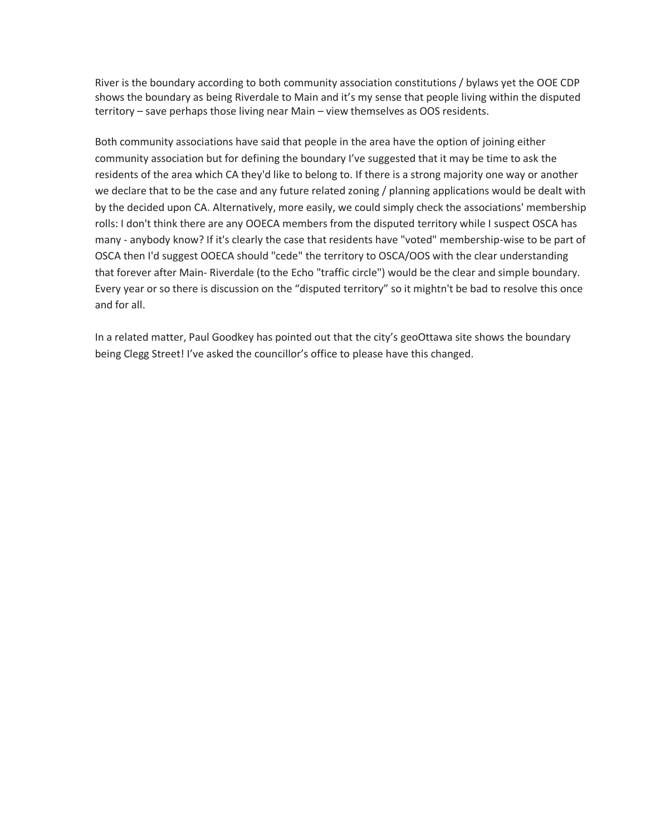River is the boundary according to both community association constitutions / bylaws yet the OOE CDP shows the boundary as being Riverdale to Main and it's my sense that people living within the disputed territory – save perhaps those living near Main – view themselves as OOS residents.

Both community associations have said that people in the area have the option of joining either community association but for defining the boundary I've suggested that it may be time to ask the residents of the area which CA they'd like to belong to. If there is a strong majority one way or another we declare that to be the case and any future related zoning / planning applications would be dealt with by the decided upon CA. Alternatively, more easily, we could simply check the associations' membership rolls: I don't think there are any OOECA members from the disputed territory while I suspect OSCA has many - anybody know? If it's clearly the case that residents have "voted" membership-wise to be part of OSCA then I'd suggest OOECA should "cede" the territory to OSCA/OOS with the clear understanding that forever after Main- Riverdale (to the Echo "traffic circle") would be the clear and simple boundary. Every year or so there is discussion on the "disputed territory" so it mightn't be bad to resolve this once and for all.

In a related matter, Paul Goodkey has pointed out that the city's geoOttawa site shows the boundary being Clegg Street! I've asked the councillor's office to please have this changed.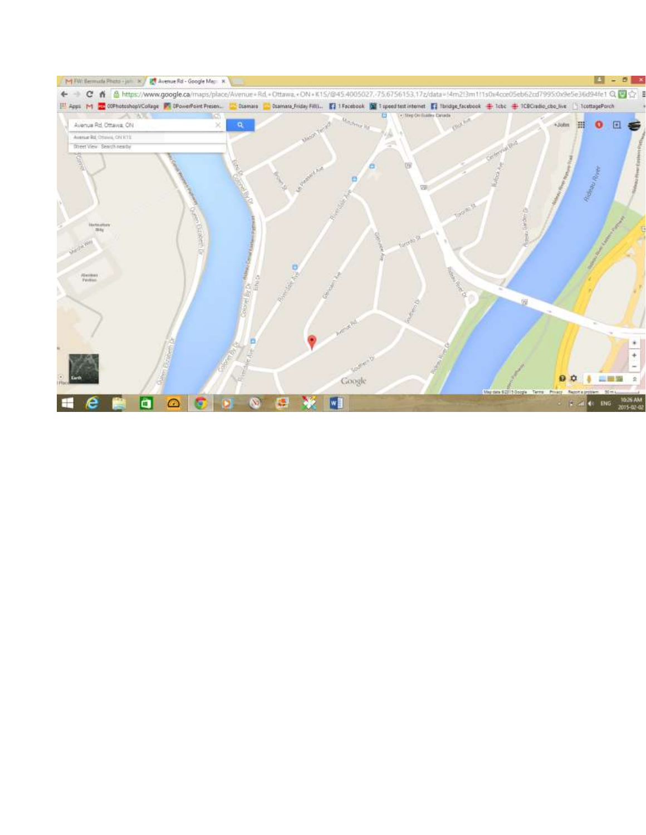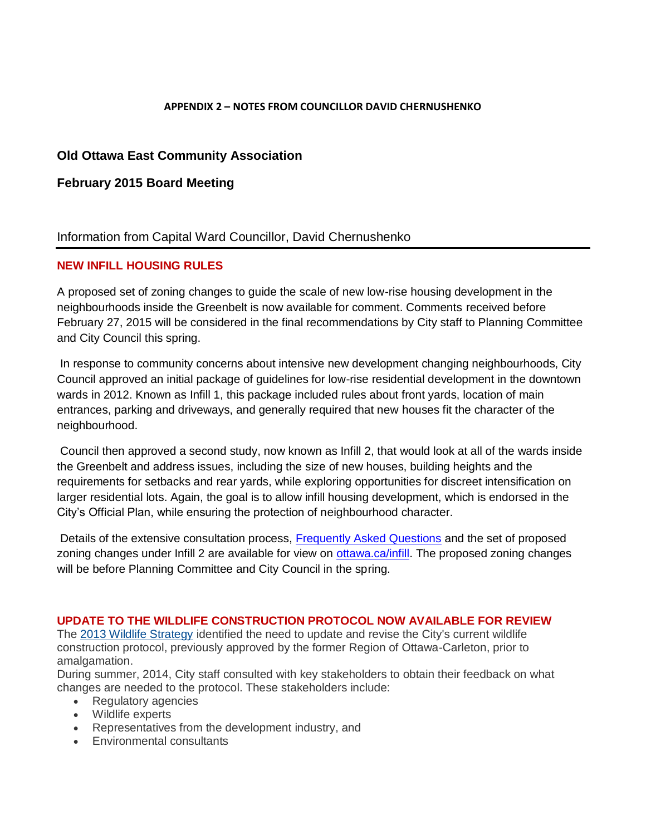#### **APPENDIX 2 – NOTES FROM COUNCILLOR DAVID CHERNUSHENKO**

## **Old Ottawa East Community Association**

## **February 2015 Board Meeting**

### Information from Capital Ward Councillor, David Chernushenko

### **NEW INFILL HOUSING RULES**

A proposed set of zoning changes to guide the scale of new low-rise housing development in the neighbourhoods inside the Greenbelt is now available for comment. Comments received before February 27, 2015 will be considered in the final recommendations by City staff to Planning Committee and City Council this spring.

In response to community concerns about intensive new development changing neighbourhoods, City Council approved an initial package of guidelines for low-rise residential development in the downtown wards in 2012. Known as Infill 1, this package included rules about front yards, location of main entrances, parking and driveways, and generally required that new houses fit the character of the neighbourhood.

Council then approved a second study, now known as Infill 2, that would look at all of the wards inside the Greenbelt and address issues, including the size of new houses, building heights and the requirements for setbacks and rear yards, while exploring opportunities for discreet intensification on larger residential lots. Again, the goal is to allow infill housing development, which is endorsed in the City's Official Plan, while ensuring the protection of neighbourhood character.

Details of the extensive consultation process, [Frequently Asked Questions](http://ottawa.ca/en/city-hall/public-consultations/planning-and-infrastructure/frequently-asked-questions) and the set of proposed zoning changes under Infill 2 are available for view on [ottawa.ca/infill.](http://ottawa.ca/en/city-hall/public-consultations/low-rise-infill-housing-study-phase-2) The proposed zoning changes will be before Planning Committee and City Council in the spring.

#### **UPDATE TO THE WILDLIFE CONSTRUCTION PROTOCOL NOW AVAILABLE FOR REVIEW**

The [2013 Wildlife Strategy](http://ottawa.ca/en/node/298237) identified the need to update and revise the City's current wildlife construction protocol, previously approved by the former Region of Ottawa-Carleton, prior to amalgamation.

During summer, 2014, City staff consulted with key stakeholders to obtain their feedback on what changes are needed to the protocol. These stakeholders include:

- Regulatory agencies
- Wildlife experts
- Representatives from the development industry, and
- Environmental consultants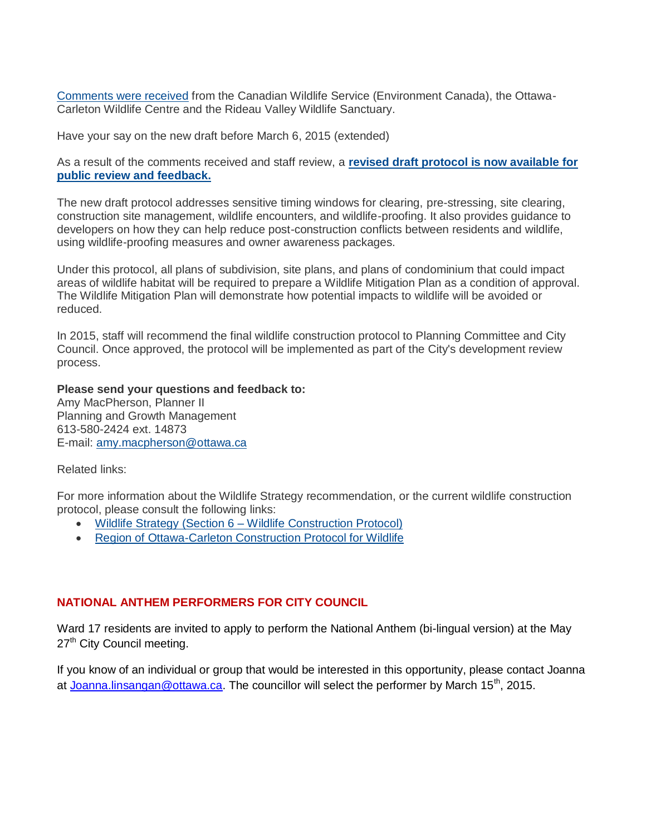[Comments were received](http://ottawa.ca/en/node/313161) from the Canadian Wildlife Service (Environment Canada), the Ottawa-Carleton Wildlife Centre and the Rideau Valley Wildlife Sanctuary.

Have your say on the new draft before March 6, 2015 (extended)

As a result of the comments received and staff review, a **[revised draft protocol is now available for](http://documents.ottawa.ca/sites/documents.ottawa.ca/files/documents/construction_en.pdf)  [public review and feedback.](http://documents.ottawa.ca/sites/documents.ottawa.ca/files/documents/construction_en.pdf)**

The new draft protocol addresses sensitive timing windows for clearing, pre-stressing, site clearing, construction site management, wildlife encounters, and wildlife-proofing. It also provides guidance to developers on how they can help reduce post-construction conflicts between residents and wildlife, using wildlife-proofing measures and owner awareness packages.

Under this protocol, all plans of subdivision, site plans, and plans of condominium that could impact areas of wildlife habitat will be required to prepare a Wildlife Mitigation Plan as a condition of approval. The Wildlife Mitigation Plan will demonstrate how potential impacts to wildlife will be avoided or reduced.

In 2015, staff will recommend the final wildlife construction protocol to Planning Committee and City Council. Once approved, the protocol will be implemented as part of the City's development review process.

#### **Please send your questions and feedback to:**

Amy MacPherson, Planner II Planning and Growth Management 613-580-2424 ext. 14873 E-mail: [amy.macpherson@ottawa.ca](mailto:amy.macpherson@ottawa.ca)

Related links:

For more information about the Wildlife Strategy recommendation, or the current wildlife construction protocol, please consult the following links:

- Wildlife Strategy (Section 6 [Wildlife Construction Protocol\)](http://ottawa.ca/en/node/298249)
- [Region of Ottawa-Carleton Construction Protocol for Wildlife](http://ottawa.ca/en/wildlife-strategy-city-ottawa/appendix)

### **NATIONAL ANTHEM PERFORMERS FOR CITY COUNCIL**

Ward 17 residents are invited to apply to perform the National Anthem (bi-lingual version) at the May 27<sup>th</sup> City Council meeting.

If you know of an individual or group that would be interested in this opportunity, please contact Joanna at [Joanna.linsangan@ottawa.ca.](mailto:Joanna.linsangan@ottawa.ca) The councillor will select the performer by March 15<sup>th</sup>, 2015.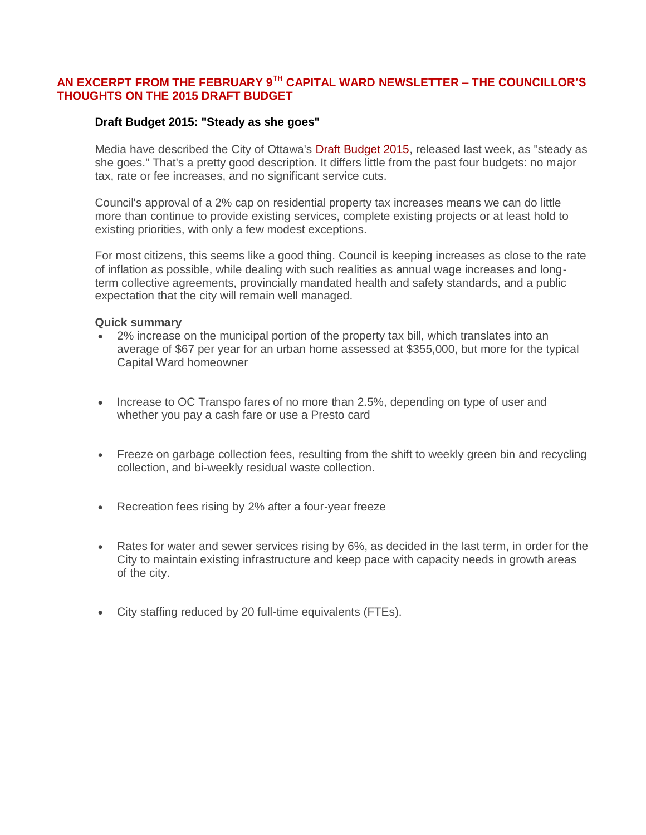### **AN EXCERPT FROM THE FEBRUARY 9TH CAPITAL WARD NEWSLETTER – THE COUNCILLOR'S THOUGHTS ON THE 2015 DRAFT BUDGET**

### **Draft Budget 2015: "Steady as she goes"**

Media have described the City of Ottawa's [Draft Budget 2015,](http://ottawa.ca/en/city-hall/budget-and-taxes/budget-2015) released last week, as "steady as she goes." That's a pretty good description. It differs little from the past four budgets: no major tax, rate or fee increases, and no significant service cuts.

Council's approval of a 2% cap on residential property tax increases means we can do little more than continue to provide existing services, complete existing projects or at least hold to existing priorities, with only a few modest exceptions.

For most citizens, this seems like a good thing. Council is keeping increases as close to the rate of inflation as possible, while dealing with such realities as annual wage increases and longterm collective agreements, provincially mandated health and safety standards, and a public expectation that the city will remain well managed.

#### **Quick summary**

- 2% increase on the municipal portion of the property tax bill, which translates into an average of \$67 per year for an urban home assessed at \$355,000, but more for the typical Capital Ward homeowner
- Increase to OC Transpo fares of no more than 2.5%, depending on type of user and whether you pay a cash fare or use a Presto card
- Freeze on garbage collection fees, resulting from the shift to weekly green bin and recycling collection, and bi-weekly residual waste collection.
- Recreation fees rising by 2% after a four-year freeze
- Rates for water and sewer services rising by 6%, as decided in the last term, in order for the City to maintain existing infrastructure and keep pace with capacity needs in growth areas of the city.
- City staffing reduced by 20 full-time equivalents (FTEs).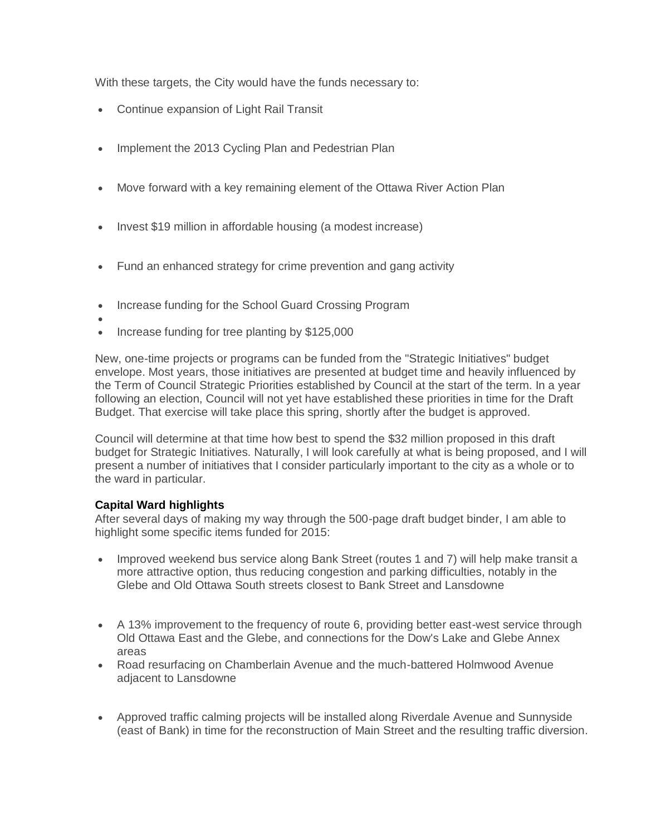With these targets, the City would have the funds necessary to:

- Continue expansion of Light Rail Transit
- Implement the 2013 Cycling Plan and Pedestrian Plan
- Move forward with a key remaining element of the Ottawa River Action Plan
- Invest \$19 million in affordable housing (a modest increase)
- Fund an enhanced strategy for crime prevention and gang activity
- Increase funding for the School Guard Crossing Program
- $\bullet$
- Increase funding for tree planting by \$125,000

New, one-time projects or programs can be funded from the "Strategic Initiatives" budget envelope. Most years, those initiatives are presented at budget time and heavily influenced by the Term of Council Strategic Priorities established by Council at the start of the term. In a year following an election, Council will not yet have established these priorities in time for the Draft Budget. That exercise will take place this spring, shortly after the budget is approved.

Council will determine at that time how best to spend the \$32 million proposed in this draft budget for Strategic Initiatives. Naturally, I will look carefully at what is being proposed, and I will present a number of initiatives that I consider particularly important to the city as a whole or to the ward in particular.

### **Capital Ward highlights**

After several days of making my way through the 500-page draft budget binder, I am able to highlight some specific items funded for 2015:

- Improved weekend bus service along Bank Street (routes 1 and 7) will help make transit a more attractive option, thus reducing congestion and parking difficulties, notably in the Glebe and Old Ottawa South streets closest to Bank Street and Lansdowne
- A 13% improvement to the frequency of route 6, providing better east-west service through Old Ottawa East and the Glebe, and connections for the Dow's Lake and Glebe Annex areas
- Road resurfacing on Chamberlain Avenue and the much-battered Holmwood Avenue adjacent to Lansdowne
- Approved traffic calming projects will be installed along Riverdale Avenue and Sunnyside (east of Bank) in time for the reconstruction of Main Street and the resulting traffic diversion.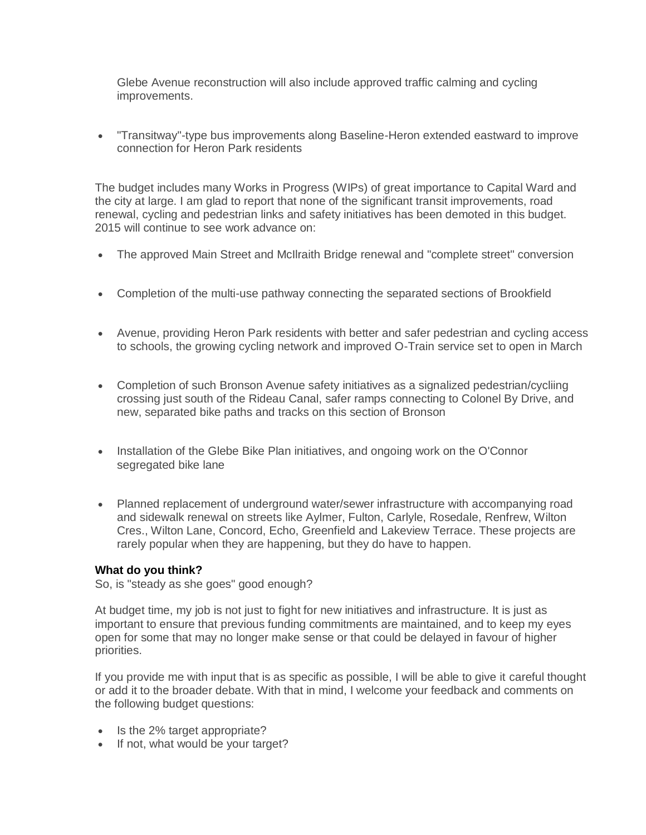Glebe Avenue reconstruction will also include approved traffic calming and cycling improvements.

 "Transitway"-type bus improvements along Baseline-Heron extended eastward to improve connection for Heron Park residents

The budget includes many Works in Progress (WIPs) of great importance to Capital Ward and the city at large. I am glad to report that none of the significant transit improvements, road renewal, cycling and pedestrian links and safety initiatives has been demoted in this budget. 2015 will continue to see work advance on:

- The approved Main Street and McIlraith Bridge renewal and "complete street" conversion
- Completion of the multi-use pathway connecting the separated sections of Brookfield
- Avenue, providing Heron Park residents with better and safer pedestrian and cycling access to schools, the growing cycling network and improved O-Train service set to open in March
- Completion of such Bronson Avenue safety initiatives as a signalized pedestrian/cycliing crossing just south of the Rideau Canal, safer ramps connecting to Colonel By Drive, and new, separated bike paths and tracks on this section of Bronson
- Installation of the Glebe Bike Plan initiatives, and ongoing work on the O'Connor segregated bike lane
- Planned replacement of underground water/sewer infrastructure with accompanying road and sidewalk renewal on streets like Aylmer, Fulton, Carlyle, Rosedale, Renfrew, Wilton Cres., Wilton Lane, Concord, Echo, Greenfield and Lakeview Terrace. These projects are rarely popular when they are happening, but they do have to happen.

### **What do you think?**

So, is "steady as she goes" good enough?

At budget time, my job is not just to fight for new initiatives and infrastructure. It is just as important to ensure that previous funding commitments are maintained, and to keep my eyes open for some that may no longer make sense or that could be delayed in favour of higher priorities.

If you provide me with input that is as specific as possible, I will be able to give it careful thought or add it to the broader debate. With that in mind, I welcome your feedback and comments on the following budget questions:

- Is the 2% target appropriate?
- If not, what would be your target?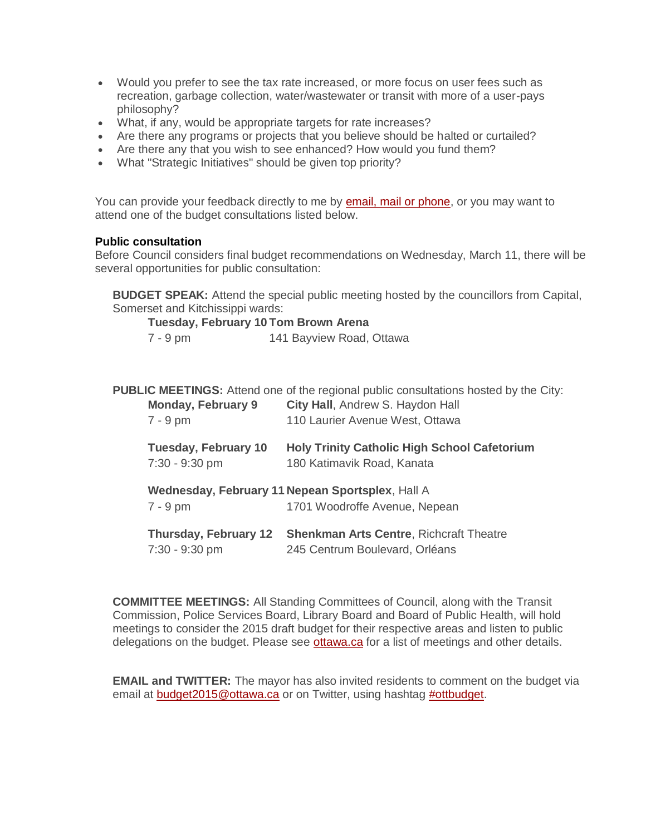- Would you prefer to see the tax rate increased, or more focus on user fees such as recreation, garbage collection, water/wastewater or transit with more of a user-pays philosophy?
- What, if any, would be appropriate targets for rate increases?
- Are there any programs or projects that you believe should be halted or curtailed?
- Are there any that you wish to see enhanced? How would you fund them?
- What "Strategic Initiatives" should be given top priority?

You can provide your feedback directly to me by [email, mail or phone,](http://www.capitalward.ca/index.php/en/contact) or you may want to attend one of the budget consultations listed below.

#### **Public consultation**

Before Council considers final budget recommendations on Wednesday, March 11, there will be several opportunities for public consultation:

**BUDGET SPEAK:** Attend the special public meeting hosted by the councillors from Capital, Somerset and Kitchissippi wards:

**Tuesday, February 10 Tom Brown Arena**

|  | 7 - 9 pm | 141 Bayview Road, Ottawa |
|--|----------|--------------------------|
|--|----------|--------------------------|

|                             | <b>PUBLIC MEETINGS:</b> Attend one of the regional public consultations hosted by the City: |
|-----------------------------|---------------------------------------------------------------------------------------------|
| <b>Monday, February 9</b>   | City Hall, Andrew S. Haydon Hall                                                            |
| $7 - 9$ pm                  | 110 Laurier Avenue West, Ottawa                                                             |
| <b>Tuesday, February 10</b> | <b>Holy Trinity Catholic High School Cafetorium</b>                                         |
| 7:30 - 9:30 pm              | 180 Katimavik Road, Kanata                                                                  |
|                             | Wednesday, February 11 Nepean Sportsplex, Hall A                                            |
| $7 - 9$ pm                  | 1701 Woodroffe Avenue, Nepean                                                               |
| Thursday, February 12       | <b>Shenkman Arts Centre, Richcraft Theatre</b>                                              |
| 7:30 - 9:30 pm              | 245 Centrum Boulevard, Orléans                                                              |

**COMMITTEE MEETINGS:** All Standing Committees of Council, along with the Transit Commission, Police Services Board, Library Board and Board of Public Health, will hold meetings to consider the 2015 draft budget for their respective areas and listen to public delegations on the budget. Please see [ottawa.ca](http://ottawa.ca/en/city-hall/budget-and-taxes/budget/public-consultation-and-feedback-0) for a list of meetings and other details.

**EMAIL and TWITTER:** The mayor has also invited residents to comment on the budget via email at [budget2015@ottawa.ca](mailto:budget2015@ottawa.ca) or on Twitter, using hashtag [#ottbudget.](https://twitter.com/hashtag/ottbudget)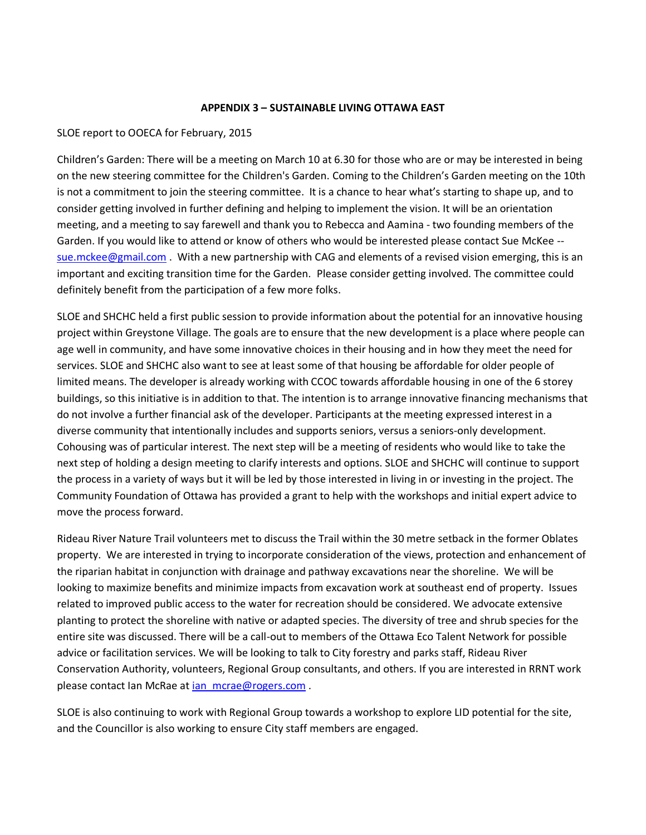#### **APPENDIX 3 – SUSTAINABLE LIVING OTTAWA EAST**

#### SLOE report to OOECA for February, 2015

Children's Garden: There will be a meeting on March 10 at 6.30 for those who are or may be interested in being on the new steering committee for the Children's Garden. Coming to the Children's Garden meeting on the 10th is not a commitment to join the steering committee. It is a chance to hear what's starting to shape up, and to consider getting involved in further defining and helping to implement the vision. It will be an orientation meeting, and a meeting to say farewell and thank you to Rebecca and Aamina - two founding members of the Garden. If you would like to attend or know of others who would be interested please contact Sue McKee - [sue.mckee@gmail.com](mailto:sue.mckee@gmail.com) . With a new partnership with CAG and elements of a revised vision emerging, this is an important and exciting transition time for the Garden. Please consider getting involved. The committee could definitely benefit from the participation of a few more folks.

SLOE and SHCHC held a first public session to provide information about the potential for an innovative housing project within Greystone Village. The goals are to ensure that the new development is a place where people can age well in community, and have some innovative choices in their housing and in how they meet the need for services. SLOE and SHCHC also want to see at least some of that housing be affordable for older people of limited means. The developer is already working with CCOC towards affordable housing in one of the 6 storey buildings, so this initiative is in addition to that. The intention is to arrange innovative financing mechanisms that do not involve a further financial ask of the developer. Participants at the meeting expressed interest in a diverse community that intentionally includes and supports seniors, versus a seniors-only development. Cohousing was of particular interest. The next step will be a meeting of residents who would like to take the next step of holding a design meeting to clarify interests and options. SLOE and SHCHC will continue to support the process in a variety of ways but it will be led by those interested in living in or investing in the project. The Community Foundation of Ottawa has provided a grant to help with the workshops and initial expert advice to move the process forward.

Rideau River Nature Trail volunteers met to discuss the Trail within the 30 metre setback in the former Oblates property. We are interested in trying to incorporate consideration of the views, protection and enhancement of the riparian habitat in conjunction with drainage and pathway excavations near the shoreline. We will be looking to maximize benefits and minimize impacts from excavation work at southeast end of property. Issues related to improved public access to the water for recreation should be considered. We advocate extensive planting to protect the shoreline with native or adapted species. The diversity of tree and shrub species for the entire site was discussed. There will be a call-out to members of the Ottawa Eco Talent Network for possible advice or facilitation services. We will be looking to talk to City forestry and parks staff, Rideau River Conservation Authority, volunteers, Regional Group consultants, and others. If you are interested in RRNT work please contact Ian McRae at [ian\\_mcrae@rogers.com](mailto:ian_mcrae@rogers.com) .

SLOE is also continuing to work with Regional Group towards a workshop to explore LID potential for the site, and the Councillor is also working to ensure City staff members are engaged.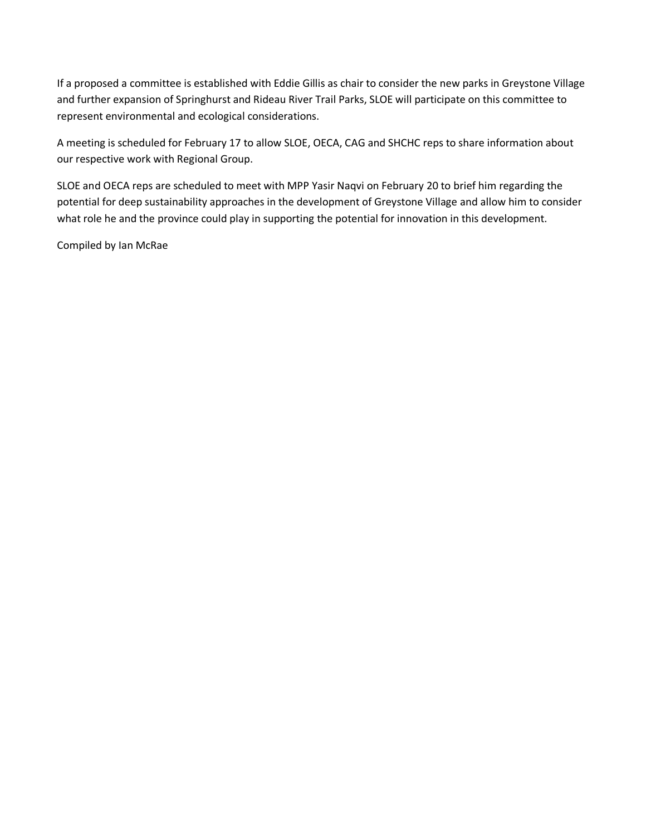If a proposed a committee is established with Eddie Gillis as chair to consider the new parks in Greystone Village and further expansion of Springhurst and Rideau River Trail Parks, SLOE will participate on this committee to represent environmental and ecological considerations.

A meeting is scheduled for February 17 to allow SLOE, OECA, CAG and SHCHC reps to share information about our respective work with Regional Group.

SLOE and OECA reps are scheduled to meet with MPP Yasir Naqvi on February 20 to brief him regarding the potential for deep sustainability approaches in the development of Greystone Village and allow him to consider what role he and the province could play in supporting the potential for innovation in this development.

Compiled by Ian McRae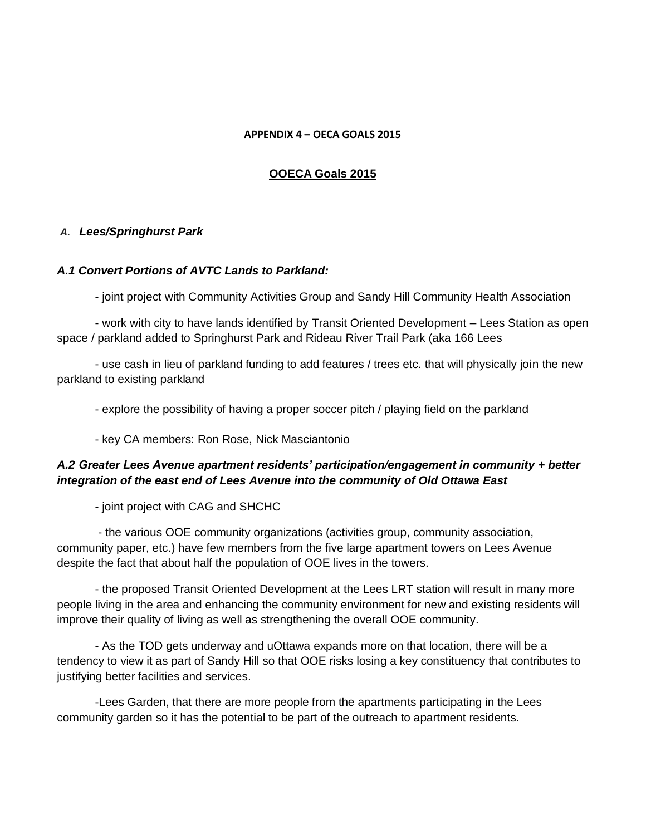#### **APPENDIX 4 – OECA GOALS 2015**

### **OOECA Goals 2015**

#### *A. Lees/Springhurst Park*

#### *A.1 Convert Portions of AVTC Lands to Parkland:*

- joint project with Community Activities Group and Sandy Hill Community Health Association

- work with city to have lands identified by Transit Oriented Development – Lees Station as open space / parkland added to Springhurst Park and Rideau River Trail Park (aka 166 Lees

- use cash in lieu of parkland funding to add features / trees etc. that will physically join the new parkland to existing parkland

- explore the possibility of having a proper soccer pitch / playing field on the parkland

- key CA members: Ron Rose, Nick Masciantonio

## *A.2 Greater Lees Avenue apartment residents' participation/engagement in community + better integration of the east end of Lees Avenue into the community of Old Ottawa East*

- joint project with CAG and SHCHC

- the various OOE community organizations (activities group, community association, community paper, etc.) have few members from the five large apartment towers on Lees Avenue despite the fact that about half the population of OOE lives in the towers.

- the proposed Transit Oriented Development at the Lees LRT station will result in many more people living in the area and enhancing the community environment for new and existing residents will improve their quality of living as well as strengthening the overall OOE community.

- As the TOD gets underway and uOttawa expands more on that location, there will be a tendency to view it as part of Sandy Hill so that OOE risks losing a key constituency that contributes to justifying better facilities and services.

-Lees Garden, that there are more people from the apartments participating in the Lees community garden so it has the potential to be part of the outreach to apartment residents.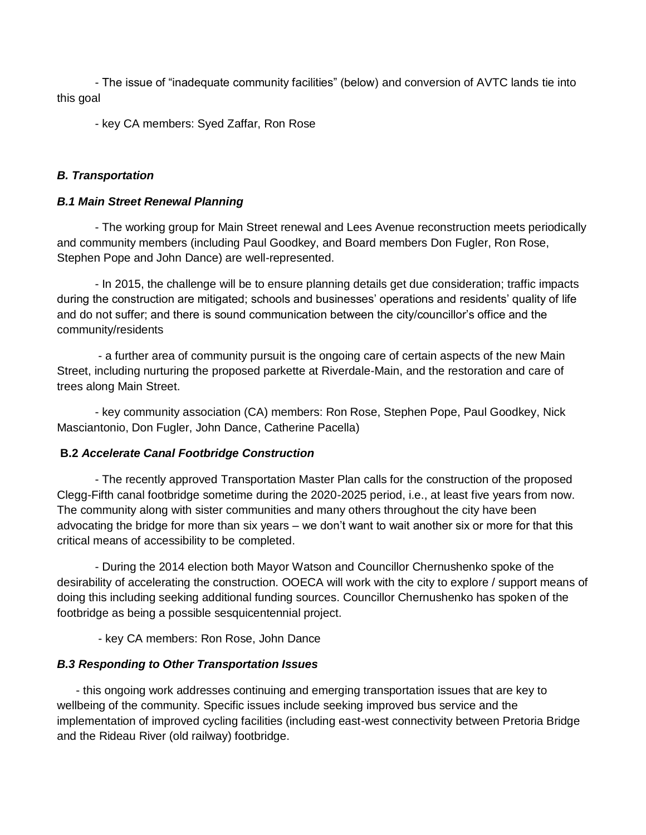- The issue of "inadequate community facilities" (below) and conversion of AVTC lands tie into this goal

- key CA members: Syed Zaffar, Ron Rose

### *B. Transportation*

### *B.1 Main Street Renewal Planning*

- The working group for Main Street renewal and Lees Avenue reconstruction meets periodically and community members (including Paul Goodkey, and Board members Don Fugler, Ron Rose, Stephen Pope and John Dance) are well-represented.

- In 2015, the challenge will be to ensure planning details get due consideration; traffic impacts during the construction are mitigated; schools and businesses' operations and residents' quality of life and do not suffer; and there is sound communication between the city/councillor's office and the community/residents

- a further area of community pursuit is the ongoing care of certain aspects of the new Main Street, including nurturing the proposed parkette at Riverdale-Main, and the restoration and care of trees along Main Street.

- key community association (CA) members: Ron Rose, Stephen Pope, Paul Goodkey, Nick Masciantonio, Don Fugler, John Dance, Catherine Pacella)

### **B.2** *Accelerate Canal Footbridge Construction*

- The recently approved Transportation Master Plan calls for the construction of the proposed Clegg-Fifth canal footbridge sometime during the 2020-2025 period, i.e., at least five years from now. The community along with sister communities and many others throughout the city have been advocating the bridge for more than six years – we don't want to wait another six or more for that this critical means of accessibility to be completed.

- During the 2014 election both Mayor Watson and Councillor Chernushenko spoke of the desirability of accelerating the construction. OOECA will work with the city to explore / support means of doing this including seeking additional funding sources. Councillor Chernushenko has spoken of the footbridge as being a possible sesquicentennial project.

- key CA members: Ron Rose, John Dance

## *B.3 Responding to Other Transportation Issues*

- this ongoing work addresses continuing and emerging transportation issues that are key to wellbeing of the community. Specific issues include seeking improved bus service and the implementation of improved cycling facilities (including east-west connectivity between Pretoria Bridge and the Rideau River (old railway) footbridge.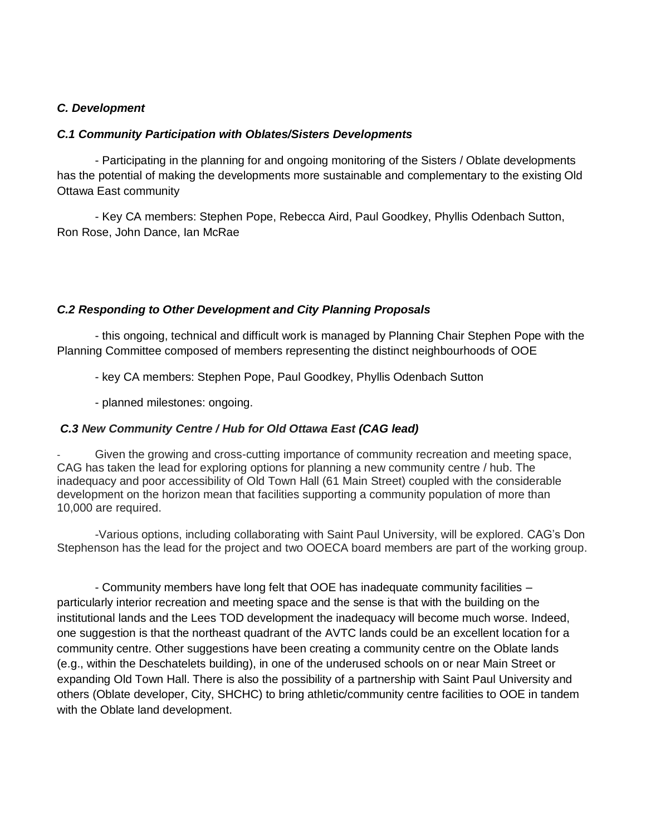### *C. Development*

#### *C.1 Community Participation with Oblates/Sisters Developments*

- Participating in the planning for and ongoing monitoring of the Sisters / Oblate developments has the potential of making the developments more sustainable and complementary to the existing Old Ottawa East community

- Key CA members: Stephen Pope, Rebecca Aird, Paul Goodkey, Phyllis Odenbach Sutton, Ron Rose, John Dance, Ian McRae

#### *C.2 Responding to Other Development and City Planning Proposals*

- this ongoing, technical and difficult work is managed by Planning Chair Stephen Pope with the Planning Committee composed of members representing the distinct neighbourhoods of OOE

- key CA members: Stephen Pope, Paul Goodkey, Phyllis Odenbach Sutton

- planned milestones: ongoing.

### *C.3 New Community Centre / Hub for Old Ottawa East (CAG lead)*

Given the growing and cross-cutting importance of community recreation and meeting space, CAG has taken the lead for exploring options for planning a new community centre / hub. The inadequacy and poor accessibility of Old Town Hall (61 Main Street) coupled with the considerable development on the horizon mean that facilities supporting a community population of more than 10,000 are required.

-Various options, including collaborating with Saint Paul University, will be explored. CAG's Don Stephenson has the lead for the project and two OOECA board members are part of the working group.

- Community members have long felt that OOE has inadequate community facilities – particularly interior recreation and meeting space and the sense is that with the building on the institutional lands and the Lees TOD development the inadequacy will become much worse. Indeed, one suggestion is that the northeast quadrant of the AVTC lands could be an excellent location for a community centre. Other suggestions have been creating a community centre on the Oblate lands (e.g., within the Deschatelets building), in one of the underused schools on or near Main Street or expanding Old Town Hall. There is also the possibility of a partnership with Saint Paul University and others (Oblate developer, City, SHCHC) to bring athletic/community centre facilities to OOE in tandem with the Oblate land development.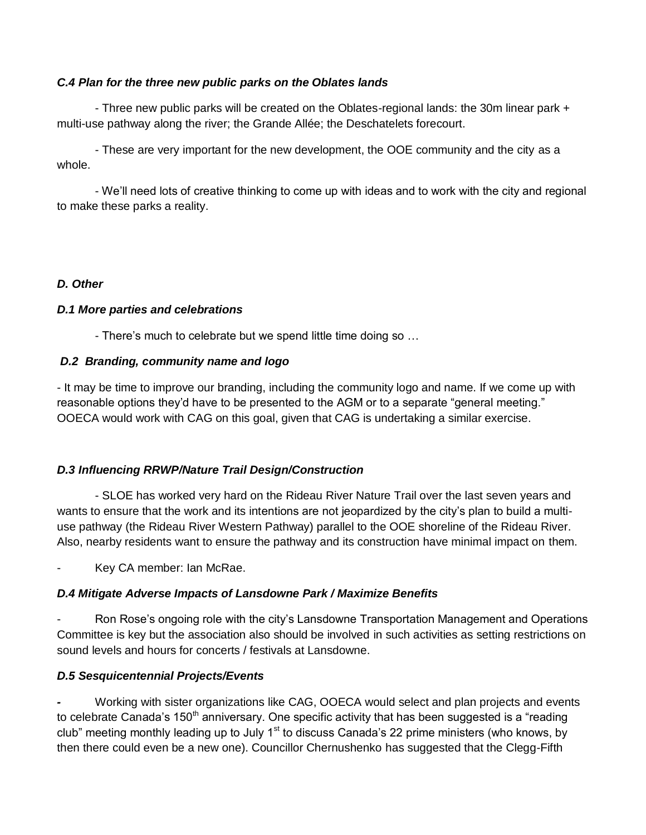### *C.4 Plan for the three new public parks on the Oblates lands*

- Three new public parks will be created on the Oblates-regional lands: the 30m linear park + multi-use pathway along the river; the Grande Allée; the Deschatelets forecourt.

- These are very important for the new development, the OOE community and the city as a whole.

- We'll need lots of creative thinking to come up with ideas and to work with the city and regional to make these parks a reality.

## *D. Other*

### *D.1 More parties and celebrations*

- There's much to celebrate but we spend little time doing so …

### *D.2 Branding, community name and logo*

- It may be time to improve our branding, including the community logo and name. If we come up with reasonable options they'd have to be presented to the AGM or to a separate "general meeting." OOECA would work with CAG on this goal, given that CAG is undertaking a similar exercise.

## *D.3 Influencing RRWP/Nature Trail Design/Construction*

- SLOE has worked very hard on the Rideau River Nature Trail over the last seven years and wants to ensure that the work and its intentions are not jeopardized by the city's plan to build a multiuse pathway (the Rideau River Western Pathway) parallel to the OOE shoreline of the Rideau River. Also, nearby residents want to ensure the pathway and its construction have minimal impact on them.

Key CA member: Ian McRae.

## *D.4 Mitigate Adverse Impacts of Lansdowne Park / Maximize Benefits*

- Ron Rose's ongoing role with the city's Lansdowne Transportation Management and Operations Committee is key but the association also should be involved in such activities as setting restrictions on sound levels and hours for concerts / festivals at Lansdowne.

## *D.5 Sesquicentennial Projects/Events*

*-* Working with sister organizations like CAG, OOECA would select and plan projects and events to celebrate Canada's 150<sup>th</sup> anniversary. One specific activity that has been suggested is a "reading" club" meeting monthly leading up to July  $1<sup>st</sup>$  to discuss Canada's 22 prime ministers (who knows, by then there could even be a new one). Councillor Chernushenko has suggested that the Clegg-Fifth